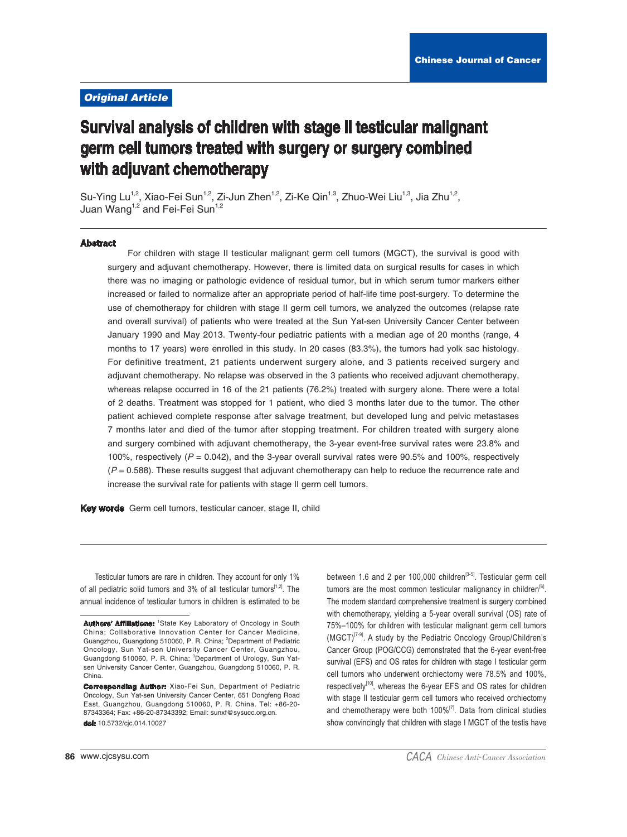# **Original Article**

# Survival analysis of children with stage II testicular malignant germ cell tumors treated with surgery or surgery combined with adjuvant chemotherapy

Su-Ying Lu<sup>1,2</sup>, Xiao-Fei Sun<sup>1,2</sup>, Zi-Jun Zhen<sup>1,2</sup>, Zi-Ke Qin<sup>1,3</sup>, Zhuo-Wei Liu<sup>1,3</sup>, Jia Zhu<sup>1,2</sup>, Juan Wang<sup>1,2</sup> and Fei-Fei Sun<sup>1,2</sup>

#### **Abstract**

For children with stage II testicular malignant germ cell tumors (MGCT), the survival is good with surgery and adjuvant chemotherapy. However, there is limited data on surgical results for cases in which there was no imaging or pathologic evidence of residual tumor, but in which serum tumor markers either increased or failed to normalize after an appropriate period of half-life time post-surgery. To determine the use of chemotherapy for children with stage II germ cell tumors, we analyzed the outcomes (relapse rate and overall survival) of patients who were treated at the Sun Yat-sen University Cancer Center between January 1990 and May 2013. Twenty-four pediatric patients with a median age of 20 months (range, 4 months to 17 years) were enrolled in this study. In 20 cases (83.3%), the tumors had yolk sac histology. For definitive treatment, 21 patients underwent surgery alone, and 3 patients received surgery and adjuvant chemotherapy. No relapse was observed in the 3 patients who received adjuvant chemotherapy, whereas relapse occurred in 16 of the 21 patients (76.2%) treated with surgery alone. There were a total of 2 deaths. Treatment was stopped for 1 patient, who died 3 months later due to the tumor. The other patient achieved complete response after salvage treatment, but developed lung and pelvic metastases 7 months later and died of the tumor after stopping treatment. For children treated with surgery alone and surgery combined with adjuvant chemotherapy, the 3-year event-free survival rates were 23.8% and 100%, respectively ( $P = 0.042$ ), and the 3-year overall survival rates were 90.5% and 100%, respectively  $(P = 0.588)$ . These results suggest that adjuvant chemotherapy can help to reduce the recurrence rate and increase the survival rate for patients with stage II germ cell tumors.

Key words Germ cell tumors, testicular cancer, stage II, child

Testicular tumors are rare in children. They account for only 1% of all pediatric solid tumors and 3% of all testicular tumors<sup>[1,2]</sup>. The annual incidence of testicular tumors in children is estimated to be between 1.6 and 2 per 100,000 children<sup>[3-5]</sup>. Testicular germ cell tumors are the most common testicular malignancy in children<sup>[6]</sup>. The modern standard comprehensive treatment is surgery combined with chemotherapy, yielding a 5-year overall survival (OS) rate of 75%-100% for children with testicular malignant germ cell tumors (MGCT)<sup>[7-9]</sup>. A study by the Pediatric Oncology Group/Children's Cancer Group (POG/CCG) demonstrated that the 6-year event-free survival (EFS) and OS rates for children with stage I testicular germ cell tumors who underwent orchiectomy were 78.5% and 100%, respectively<sup>[10]</sup>, whereas the 6-year EFS and OS rates for children with stage II testicular germ cell tumors who received orchiectomy and chemotherapy were both 100%<sup>[7]</sup>. Data from clinical studies show convincingly that children with stage I MGCT of the testis have

Authors' Affiliations: 1State Key Laboratory of Oncology in South China; Collaborative Innovation Center for Cancer Medicine, Guangzhou, Guangdong 510060, P. R. China; <sup>2</sup>Department of Pediatric Oncology, Sun Yat-sen University Cancer Center, Guangzhou, Guangdong 510060, P. R. China; 3Department of Urology, Sun Yatsen University Cancer Center, Guangzhou, Guangdong 510060, P. R. China.

**Corresponding Author:** Xiao-Fei Sun, Department of Pediatric Oncology, Sun Yat-sen University Cancer Center, 651 Dongfeng Road East, Guangzhou, Guangdong 510060, P. R. China, Tel: +86-20-87343364: Fax: +86-20-87343392: Email: sunxf@sysucc.org.cn. dol: 10.5732/cic.014.10027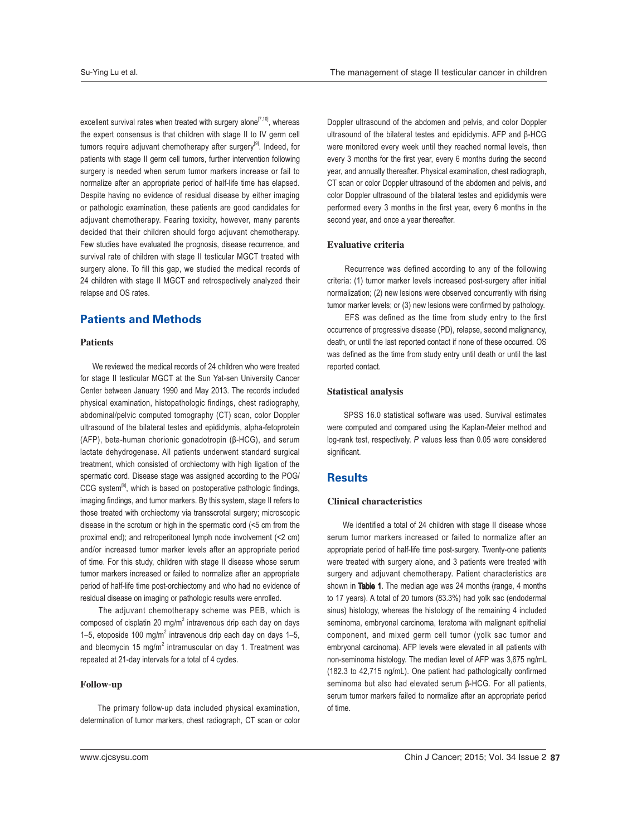excellent survival rates when treated with surgery alone<sup>[7,10]</sup>, whereas the expert consensus is that children with stage II to IV germ cell tumors require adjuvant chemotherapy after surgery<sup>[9]</sup>. Indeed, for patients with stage II germ cell tumors, further intervention following surgery is needed when serum tumor markers increase or fail to normalize after an appropriate period of half-life time has elapsed. Despite having no evidence of residual disease by either imaging or pathologic examination, these patients are good candidates for adjuvant chemotherapy. Fearing toxicity, however, many parents decided that their children should forgo adjuvant chemotherapy. Few studies have evaluated the prognosis, disease recurrence, and survival rate of children with stage II testicular MGCT treated with surgery alone. To fill this gap, we studied the medical records of 24 children with stage II MGCT and retrospectively analyzed their relapse and OS rates.

# **Patients and Methods**

#### Patients

 We reviewed the medical records of 24 children who were treated for stage II testicular MGCT at the Sun Yat-sen University Cancer Center between January 1990 and May 2013. The records included physical examination, histopathologic findings, chest radiography, abdominal/pelvic computed tomography (CT) scan, color Doppler ultrasound of the bilateral testes and epididymis, alpha-fetoprotein (AFP), beta-human chorionic gonadotropin (β-HCG), and serum lactate dehydrogenase. All patients underwent standard surgical treatment, which consisted of orchiectomy with high ligation of the spermatic cord. Disease stage was assigned according to the POG/ CCG system<sup>[8]</sup>, which is based on postoperative pathologic findings, imaging findings, and tumor markers. By this system, stage II refers to those treated with orchiectomy via transscrotal surgery; microscopic disease in the scrotum or high in the spermatic cord (<5 cm from the proximal end); and retroperitoneal lymph node involvement (<2 cm) and/or increased tumor marker levels after an appropriate period of time. For this study, children with stage II disease whose serum tumor markers increased or failed to normalize after an appropriate period of half-life time post-orchiectomy and who had no evidence of residual disease on imaging or pathologic results were enrolled.

The adjuvant chemotherapy scheme was PEB, which is composed of cisplatin 20 mg/m<sup>2</sup> intravenous drip each day on days 1-5, etoposide 100 mg/ $m^2$  intravenous drip each day on days 1-5, and bleomycin 15 mg/m<sup>2</sup> intramuscular on day 1. Treatment was repeated at 21-day intervals for a total of 4 cycles.

## Follow-up

 The primary follow-up data included physical examination, determination of tumor markers, chest radiograph, CT scan or color

Doppler ultrasound of the abdomen and pelvis, and color Doppler ultrasound of the bilateral testes and epididymis. AFP and  $\beta$ -HCG were monitored every week until they reached normal levels, then every 3 months for the first year, every 6 months during the second year, and annually thereafter. Physical examination, chest radiograph, CT scan or color Doppler ultrasound of the abdomen and pelvis, and color Doppler ultrasound of the bilateral testes and epididymis were performed every 3 months in the first year, every 6 months in the second year, and once a year thereafter.

#### Evaluative criteria

 Recurrence was defined according to any of the following criteria: (1) tumor marker levels increased post-surgery after initial normalization; (2) new lesions were observed concurrently with rising tumor marker levels; or (3) new lesions were confirmed by pathology.

EFS was defined as the time from study entry to the first occurrence of progressive disease (PD), relapse, second malignancy, death, or until the last reported contact if none of these occurred. OS was defined as the time from study entry until death or until the last reported contact.

### Statistical analysis

 SPSS 16.0 statistical software was used. Survival estimates were computed and compared using the Kaplan-Meier method and log-rank test, respectively. P values less than 0.05 were considered significant.

# Results

# Clinical characteristics

We identified a total of 24 children with stage II disease whose serum tumor markers increased or failed to normalize after an appropriate period of half-life time post-surgery. Twenty-one patients were treated with surgery alone, and 3 patients were treated with surgery and adjuvant chemotherapy. Patient characteristics are shown in Table 1. The median age was 24 months (range, 4 months to 17 years). A total of 20 tumors (83.3%) had yolk sac (endodermal sinus) histology, whereas the histology of the remaining 4 included seminoma, embryonal carcinoma, teratoma with malignant epithelial component, and mixed germ cell tumor (yolk sac tumor and embryonal carcinoma). AFP levels were elevated in all patients with non-seminoma histology. The median level of AFP was 3,675 ng/mL (182.3 to 42,715 ng/mL). One patient had pathologically confirmed  $s$ eminoma but also had elevated serum  $\beta$ -HCG. For all patients, serum tumor markers failed to normalize after an appropriate period of time.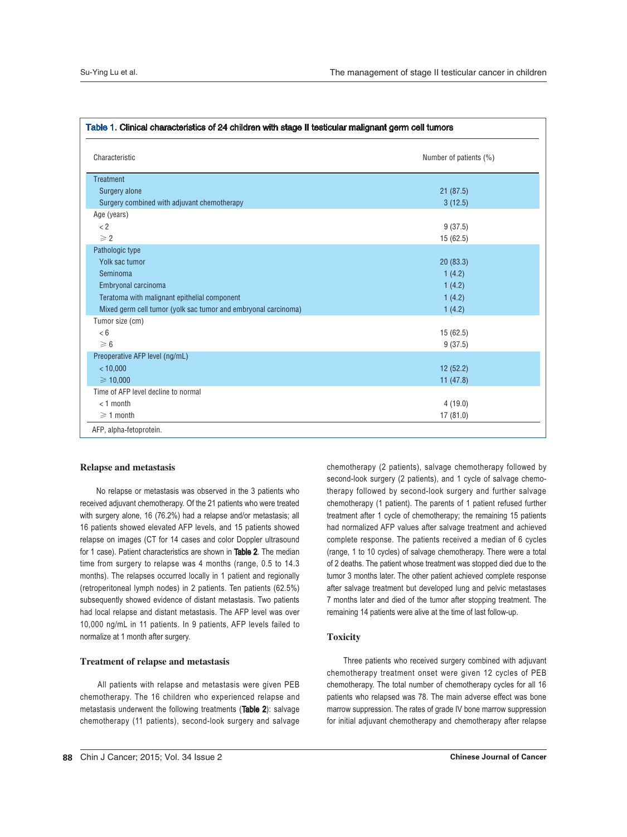| Characteristic                                                 | Number of patients (%) |  |
|----------------------------------------------------------------|------------------------|--|
| <b>Treatment</b>                                               |                        |  |
| Surgery alone                                                  | 21(87.5)               |  |
| Surgery combined with adjuvant chemotherapy                    | 3(12.5)                |  |
| Age (years)                                                    |                        |  |
| < 2                                                            | 9(37.5)                |  |
| $\geqslant$ 2                                                  | 15(62.5)               |  |
| Pathologic type                                                |                        |  |
| Yolk sac tumor                                                 | 20(83.3)               |  |
| Seminoma                                                       | 1(4.2)                 |  |
| Embryonal carcinoma                                            | 1(4.2)                 |  |
| Teratoma with malignant epithelial component                   | 1(4.2)                 |  |
| Mixed germ cell tumor (yolk sac tumor and embryonal carcinoma) | 1(4.2)                 |  |
| Tumor size (cm)                                                |                        |  |
| < 6                                                            | 15(62.5)               |  |
| $\geq 6$                                                       | 9(37.5)                |  |
| Preoperative AFP level (ng/mL)                                 |                        |  |
| < 10,000                                                       | 12(52.2)               |  |
| $\geq 10,000$                                                  | 11 $(47.8)$            |  |
| Time of AFP level decline to normal                            |                        |  |
| $<$ 1 month                                                    | 4(19.0)                |  |
| $\geq 1$ month                                                 | 17(81.0)               |  |

#### Relapse and metastasis

 No relapse or metastasis was observed in the 3 patients who received adjuvant chemotherapy. Of the 21 patients who were treated with surgery alone, 16 (76.2%) had a relapse and/or metastasis; all 16 patients showed elevated AFP levels, and 15 patients showed relapse on images (CT for 14 cases and color Doppler ultrasound for 1 case). Patient characteristics are shown in Table 2. The median time from surgery to relapse was 4 months (range, 0.5 to 14.3 months). The relapses occurred locally in 1 patient and regionally (retroperitoneal lymph nodes) in 2 patients. Ten patients (62.5%) subsequently showed evidence of distant metastasis. Two patients had local relapse and distant metastasis. The AFP level was over 10,000 ng/mL in 11 patients. In 9 patients, AFP levels failed to normalize at 1 month after surgery.

## Treatment of relapse and metastasis

All patients with relapse and metastasis were given PEB chemotherapy. The 16 children who experienced relapse and metastasis underwent the following treatments (Table 2): salvage chemotherapy (11 patients), second-look surgery and salvage chemotherapy (2 patients), salvage chemotherapy followed by second-look surgery (2 patients), and 1 cycle of salvage chemotherapy followed by second-look surgery and further salvage chemotherapy (1 patient). The parents of 1 patient refused further treatment after 1 cycle of chemotherapy; the remaining 15 patients had normalized AFP values after salvage treatment and achieved complete response. The patients received a median of 6 cycles (range, 1 to 10 cycles) of salvage chemotherapy. There were a total of 2 deaths. The patient whose treatment was stopped died due to the tumor 3 months later. The other patient achieved complete response after salvage treatment but developed lung and pelvic metastases 7 months later and died of the tumor after stopping treatment. The remaining 14 patients were alive at the time of last follow-up.

# Toxicity

 Three patients who received surgery combined with adjuvant chemotherapy treatment onset were given 12 cycles of PEB chemotherapy. The total number of chemotherapy cycles for all 16 patients who relapsed was 78. The main adverse effect was bone marrow suppression. The rates of grade IV bone marrow suppression for initial adjuvant chemotherapy and chemotherapy after relapse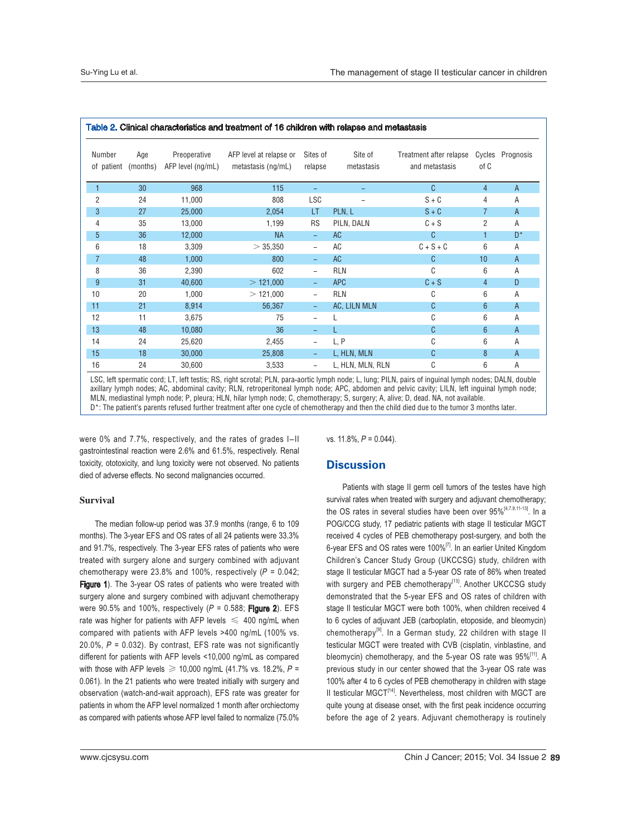| Number<br>of patient | Age<br>(months) | Preoperative<br>AFP level (ng/mL) | AFP level at relapse or<br>metastasis (ng/mL) | Sites of<br>relapse      | Site of<br>metastasis | Treatment after relapse<br>and metastasis | Cycles<br>of C | Prognosis |
|----------------------|-----------------|-----------------------------------|-----------------------------------------------|--------------------------|-----------------------|-------------------------------------------|----------------|-----------|
| 1                    | 30              | 968                               | 115                                           |                          |                       | C                                         | $\overline{4}$ | A         |
| 2                    | 24              | 11,000                            | 808                                           | <b>LSC</b>               |                       | $S + C$                                   | 4              | Α         |
| 3                    | 27              | 25,000                            | 2,054                                         | LT                       | PLN, L                | $S + C$                                   | 7              | A         |
| 4                    | 35              | 13,000                            | 1,199                                         | <b>RS</b>                | PILN, DALN            | $C + S$                                   | 2              | Α         |
| 5                    | 36              | 12,000                            | <b>NA</b>                                     | $\overline{\phantom{a}}$ | AC                    | C                                         |                | $D^*$     |
| 6                    | 18              | 3,309                             | > 35,350                                      | $\overline{\phantom{0}}$ | AC                    | $C + S + C$                               | 6              | Α         |
| $\overline{7}$       | 48              | 1,000                             | 800                                           | ÷,                       | <b>AC</b>             | C                                         | 10             | A         |
| 8                    | 36              | 2,390                             | 602                                           | $\overline{\phantom{0}}$ | <b>RLN</b>            | C                                         | 6              | Α         |
| 9                    | 31              | 40,600                            | $>$ 121,000                                   |                          | <b>APC</b>            | $C + S$                                   | $\overline{4}$ | D         |
| 10                   | 20              | 1,000                             | $>$ 121,000                                   | $\overline{\phantom{0}}$ | <b>RLN</b>            | C                                         | 6              | Α         |
| 11                   | 21              | 8,914                             | 56,367                                        | ÷,                       | AC, LILN MLN          | C                                         | $6\phantom{1}$ | A         |
| 12                   | 11              | 3,675                             | 75                                            | $\overline{\phantom{a}}$ |                       | C                                         | 6              | Α         |
| 13                   | 48              | 10,080                            | 36                                            |                          |                       | C                                         | $6\phantom{1}$ | A         |
| 14                   | 24              | 25,620                            | 2,455                                         |                          | L, P                  | C                                         | 6              | Α         |
| 15                   | 18              | 30,000                            | 25,808                                        |                          | L, HLN, MLN           | C                                         | 8              | A         |
| 16                   | 24              | 30,600                            | 3,533                                         | $\overline{\phantom{0}}$ | L, HLN, MLN, RLN      | C                                         | 6              | Α         |

LSC, left spermatic cord; LT, left testis; RS, right scrotal; PLN, para-aortic lymph node; L, lung; PILN, pairs of inguinal lymph nodes; DALN, double axillary lymph nodes; AC, abdominal cavity; RLN, retroperitoneal lymph node; APC, abdomen and pelvic cavity; LILN, left inguinal lymph node; MLN, mediastinal lymph node; P, pleura; HLN, hilar lymph node; C, chemotherapy; S, surgery; A, alive; D, dead. NA, not available. D\*: The patient's parents refused further treatment after one cycle of chemotherapy and then the child died due to the tumor 3 months later.

were  $0\%$  and  $7.7\%$ , respectively, and the rates of grades  $I=II$ gastrointestinal reaction were 2.6% and 61.5%, respectively. Renal toxicity, ototoxicity, and lung toxicity were not observed. No patients died of adverse effects. No second malignancies occurred.

## Survival

 The median follow-up period was 37.9 months (range, 6 to 109 months). The 3-year EFS and OS rates of all 24 patients were 33.3% and 91.7%, respectively. The 3-year EFS rates of patients who were treated with surgery alone and surgery combined with adjuvant chemotherapy were 23.8% and 100%, respectively  $(P = 0.042$ ; Figure 1). The 3-year OS rates of patients who were treated with surgery alone and surgery combined with adjuvant chemotherapy were 90.5% and 100%, respectively  $(P = 0.588;$  Figure 2). EFS rate was higher for patients with AFP levels  $\leq 400$  ng/mL when compared with patients with AFP levels >400 ng/mL (100% vs.  $20.0\%$ ,  $P = 0.032$ ). By contrast, EFS rate was not significantly different for patients with AFP levels <10,000 ng/mL as compared with those with AFP levels  $\geq 10,000$  ng/mL (41.7% vs. 18.2%, P = 0.061). In the 21 patients who were treated initially with surgery and observation (watch-and-wait approach), EFS rate was greater for patients in whom the AFP level normalized 1 month after orchiectomy as compared with patients whose AFP level failed to normalize (75.0%

vs.  $11.8\%$ ,  $P = 0.044$ ).

# **Discussion**

 Patients with stage II germ cell tumors of the testes have high survival rates when treated with surgery and adjuvant chemotherapy; the OS rates in several studies have been over 95%<sup>[4,7,9,11-13]</sup>. In a POG/CCG study, 17 pediatric patients with stage II testicular MGCT received 4 cycles of PEB chemotherapy post-surgery, and both the 6-year EFS and OS rates were 100%<sup>[7]</sup>. In an earlier United Kingdom Children's Cancer Study Group (UKCCSG) study, children with stage II testicular MGCT had a 5-year OS rate of 86% when treated with surgery and PEB chemotherapy<sup>[13]</sup>. Another UKCCSG study demonstrated that the 5-year EFS and OS rates of children with stage II testicular MGCT were both 100%, when children received 4 to 6 cycles of adjuvant JEB (carboplatin, etoposide, and bleomycin) chemotherapy<sup>[9]</sup>. In a German study, 22 children with stage II testicular MGCT were treated with CVB (cisplatin, vinblastine, and bleomycin) chemotherapy, and the 5-year OS rate was 95%<sup>[11]</sup>. A previous study in our center showed that the 3-year OS rate was 100% after 4 to 6 cycles of PEB chemotherapy in children with stage II testicular MGCT<sup>[14]</sup>. Nevertheless, most children with MGCT are quite young at disease onset, with the first peak incidence occurring before the age of 2 years. Adjuvant chemotherapy is routinely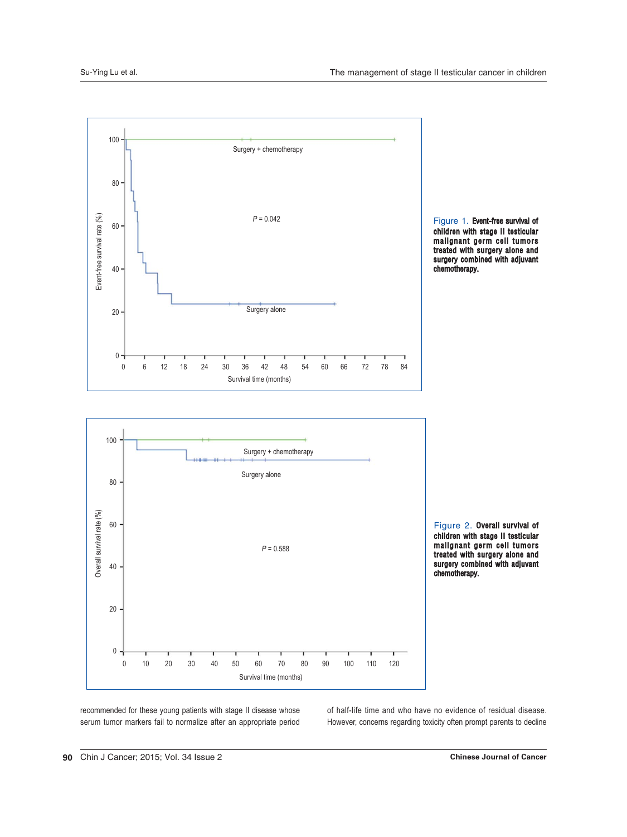





Figure 2. Overall survival of children with stage II testicular malignant germ cell tumors treated with surgery alone and surgery combined with adjuvant chemotherapy.

recommended for these young patients with stage II disease whose serum tumor markers fail to normalize after an appropriate period of half-life time and who have no evidence of residual disease. However, concerns regarding toxicity often prompt parents to decline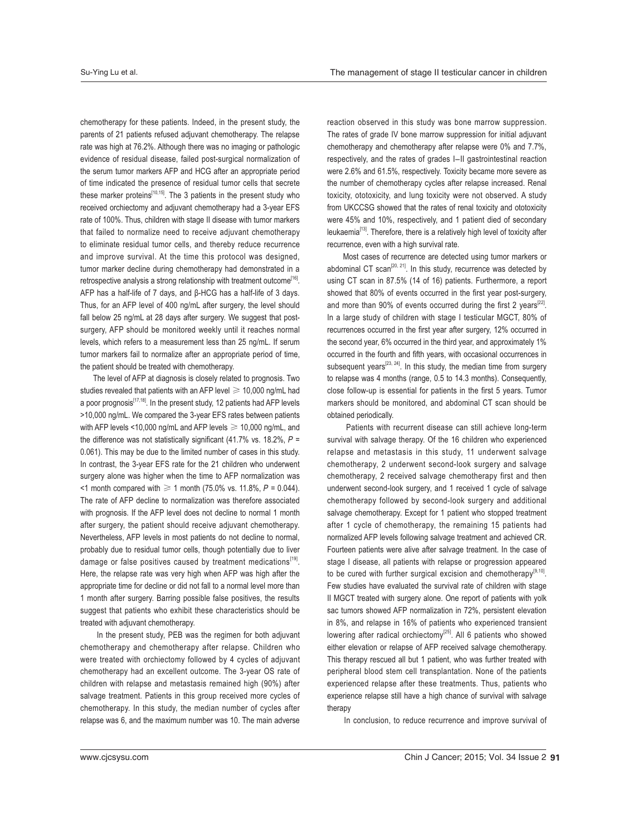chemotherapy for these patients. Indeed, in the present study, the parents of 21 patients refused adjuvant chemotherapy. The relapse rate was high at 76.2%. Although there was no imaging or pathologic evidence of residual disease, failed post-surgical normalization of the serum tumor markers AFP and HCG after an appropriate period of time indicated the presence of residual tumor cells that secrete these marker proteins<sup>[10,15]</sup>. The 3 patients in the present study who received orchiectomy and adjuvant chemotherapy had a 3-year EFS rate of 100%. Thus, children with stage II disease with tumor markers that failed to normalize need to receive adjuvant chemotherapy to eliminate residual tumor cells, and thereby reduce recurrence and improve survival. At the time this protocol was designed, tumor marker decline during chemotherapy had demonstrated in a retrospective analysis a strong relationship with treatment outcome<sup>[16]</sup>. AFP has a half-life of 7 days, and  $\beta$ -HCG has a half-life of 3 days. Thus, for an AFP level of 400 ng/mL after surgery, the level should fall below 25 ng/mL at 28 days after surgery. We suggest that postsurgery, AFP should be monitored weekly until it reaches normal levels, which refers to a measurement less than 25 ng/mL. If serum tumor markers fail to normalize after an appropriate period of time, the patient should be treated with chemotherapy.

 The level of AFP at diagnosis is closely related to prognosis. Two studies revealed that patients with an AFP level  $\geq 10,000$  ng/mL had a poor prognosis<sup> $[17,18]$ </sup>. In the present study, 12 patients had AFP levels >10,000 ng/mL. We compared the 3-year EFS rates between patients with AFP levels <10,000 ng/mL and AFP levels  $\geq 10,000$  ng/mL, and the difference was not statistically significant (41.7% vs. 18.2%,  $P =$ 0.061). This may be due to the limited number of cases in this study. In contrast, the 3-year EFS rate for the 21 children who underwent surgery alone was higher when the time to AFP normalization was  $\leq$  1 month compared with  $\geq$  1 month (75.0% vs. 11.8%, P = 0.044). The rate of AFP decline to normalization was therefore associated with prognosis. If the AFP level does not decline to normal 1 month after surgery, the patient should receive adjuvant chemotherapy. Nevertheless, AFP levels in most patients do not decline to normal, probably due to residual tumor cells, though potentially due to liver damage or false positives caused by treatment medications<sup>[19]</sup>. Here, the relapse rate was very high when AFP was high after the appropriate time for decline or did not fall to a normal level more than 1 month after surgery. Barring possible false positives, the results suggest that patients who exhibit these characteristics should be treated with adjuvant chemotherapy.

In the present study, PEB was the regimen for both adjuvant chemotherapy and chemotherapy after relapse. Children who were treated with orchiectomy followed by 4 cycles of adjuvant chemotherapy had an excellent outcome. The 3-year OS rate of children with relapse and metastasis remained high (90%) after salvage treatment. Patients in this group received more cycles of chemotherapy. In this study, the median number of cycles after relapse was 6, and the maximum number was 10. The main adverse

reaction observed in this study was bone marrow suppression. The rates of grade IV bone marrow suppression for initial adjuvant chemotherapy and chemotherapy after relapse were 0% and 7.7%, respectively, and the rates of grades I-II gastrointestinal reaction were 2.6% and 61.5%, respectively. Toxicity became more severe as the number of chemotherapy cycles after relapse increased. Renal toxicity, ototoxicity, and lung toxicity were not observed. A study from UKCCSG showed that the rates of renal toxicity and ototoxicity were 45% and 10%, respectively, and 1 patient died of secondary leukaemia<sup>[13]</sup>. Therefore, there is a relatively high level of toxicity after recurrence, even with a high survival rate.

 Most cases of recurrence are detected using tumor markers or abdominal CT scan<sup>[20, 21]</sup>. In this study, recurrence was detected by using CT scan in 87.5% (14 of 16) patients. Furthermore, a report showed that 80% of events occurred in the first year post-surgery, and more than 90% of events occurred during the first 2 years<sup>[22]</sup>. In a large study of children with stage I testicular MGCT, 80% of recurrences occurred in the first year after surgery, 12% occurred in the second year, 6% occurred in the third year, and approximately 1% occurred in the fourth and fifth years, with occasional occurrences in subsequent years<sup>[23, 24]</sup>. In this study, the median time from surgery to relapse was 4 months (range, 0.5 to 14.3 months). Consequently, close follow-up is essential for patients in the first 5 years. Tumor markers should be monitored, and abdominal CT scan should be obtained periodically.

 Patients with recurrent disease can still achieve long-term survival with salvage therapy. Of the 16 children who experienced relapse and metastasis in this study, 11 underwent salvage chemotherapy, 2 underwent second-look surgery and salvage chemotherapy, 2 received salvage chemotherapy first and then underwent second-look surgery, and 1 received 1 cycle of salvage chemotherapy followed by second-look surgery and additional salvage chemotherapy. Except for 1 patient who stopped treatment after 1 cycle of chemotherapy, the remaining 15 patients had normalized AFP levels following salvage treatment and achieved CR. Fourteen patients were alive after salvage treatment. In the case of stage I disease, all patients with relapse or progression appeared to be cured with further surgical excision and chemotherapy<sup>[9,10]</sup>. Few studies have evaluated the survival rate of children with stage II MGCT treated with surgery alone. One report of patients with yolk sac tumors showed AFP normalization in 72%, persistent elevation in 8%, and relapse in 16% of patients who experienced transient lowering after radical orchiectomy<sup>[25]</sup>. All 6 patients who showed either elevation or relapse of AFP received salvage chemotherapy. This therapy rescued all but 1 patient, who was further treated with peripheral blood stem cell transplantation. None of the patients experienced relapse after these treatments. Thus, patients who experience relapse still have a high chance of survival with salvage therapy

In conclusion, to reduce recurrence and improve survival of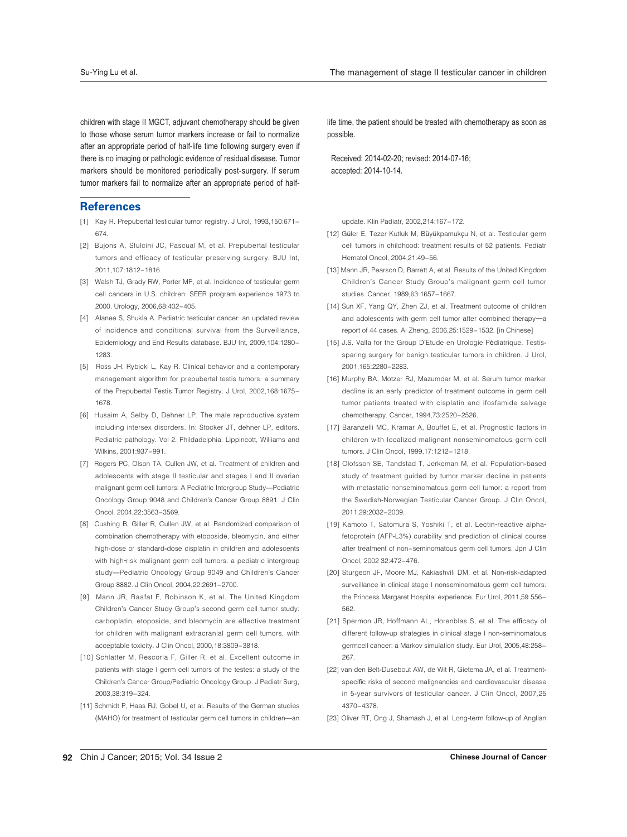children with stage II MGCT, adjuvant chemotherapy should be given to those whose serum tumor markers increase or fail to normalize after an appropriate period of half-life time following surgery even if there is no imaging or pathologic evidence of residual disease. Tumor markers should be monitored periodically post-surgery. If serum tumor markers fail to normalize after an appropriate period of half-

# **References**

- [1] Kay R. Prepubertal testicular tumor registry. J Urol, 1993,150:671-674
- [2] Bujons A, Sfulcini JC, Pascual M, et al. Prepubertal testicular tumors and efficacy of testicular preserving surgery. BJU Int, 2011, 107: 1812-1816.
- [3] Walsh TJ, Grady RW, Porter MP, et al. Incidence of testicular germ cell cancers in U.S. children: SEER program experience 1973 to 2000. Urology, 2006,68:402-405.
- [4] Alanee S, Shukla A. Pediatric testicular cancer: an updated review of incidence and conditional survival from the Surveillance. Epidemiology and End Results database. BJU Int, 2009,104:1280-1283
- [5] Ross JH, Rybicki L, Kay R. Clinical behavior and a contemporary management algorithm for prepubertal testis tumors: a summary of the Prepubertal Testis Tumor Registry. J Urol, 2002,168:1675-1678
- [6] Husaim A, Selby D, Dehner LP. The male reproductive system including intersex disorders. In: Stocker JT, dehner LP, editors. Pediatric pathology. Vol 2. Phildadelphia: Lippincott, Williams and Wilkins, 2001:937-991.
- [7] Rogers PC, Olson TA, Cullen JW, et al. Treatment of children and adolescents with stage II testicular and stages I and II ovarian malignant germ cell tumors: A Pediatric Intergroup Study-Pediatric Oncology Group 9048 and Children's Cancer Group 8891. J Clin Oncol. 2004.22:3563-3569
- [8] Cushing B, Giller R, Cullen JW, et al. Randomized comparison of combination chemotherapy with etoposide, bleomycin, and either high-dose or standard-dose cisplatin in children and adolescents with high-risk malignant germ cell tumors: a pediatric intergroup study-Pediatric Oncology Group 9049 and Children's Cancer Group 8882. J Clin Oncol, 2004, 22: 2691-2700.
- [9] Mann JR, Raafat F, Robinson K, et al. The United Kingdom Children's Cancer Study Group's second germ cell tumor study: carboplatin, etoposide, and bleomycin are effective treatment for children with malignant extracranial germ cell tumors, with acceptable toxicity. J Clin Oncol, 2000, 18:3809-3818.
- [10] Schlatter M, Rescorla F, Giller R, et al. Excellent outcome in patients with stage I germ cell tumors of the testes: a study of the Children's Cancer Group/Pediatric Oncology Group. J Pediatr Surg, 2003.38:319-324.
- [11] Schmidt P, Haas RJ, Gobel U, et al. Results of the German studies (MAHO) for treatment of testicular germ cell tumors in children-an

life time, the patient should be treated with chemotherapy as soon as possible.

 Received: 2014-02-20; revised: 2014-07-16; accepted: 2014-10-14.

update, Klin Padiatr, 2002.214:167-172.

- [12] Güler E, Tezer Kutluk M, Büyükpamukçu N, et al. Testicular germ cell tumors in childhood: treatment results of 52 patients. Pediatr Hematol Oncol, 2004, 21:49-56.
- [13] Mann JR, Pearson D, Barrett A, et al. Results of the United Kingdom Children's Cancer Study Group's malignant germ cell tumor studies, Cancer, 1989.63:1657-1667
- [14] Sun XF, Yang QY, Zhen ZJ, et al. Treatment outcome of children and adolescents with germ cell tumor after combined therapy-a report of 44 cases. Ai Zheng, 2006, 25:1529-1532. [in Chinese]
- [15] J.S. Valla for the Group D'Etude en Urologie Pédiatrique. Testissparing surgery for benign testicular tumors in children. J Urol, 2001 165:2280-2283
- [16] Murphy BA, Motzer RJ, Mazumdar M, et al. Serum tumor marker decline is an early predictor of treatment outcome in germ cell tumor patients treated with cisplatin and ifosfamide salvage chemotherapy. Cancer, 1994, 73: 2520-2526.
- [17] Baranzelli MC, Kramar A, Bouffet E, et al. Prognostic factors in children with localized malignant nonseminomatous germ cell tumors. J Clin Oncol, 1999, 17:1212-1218.
- [18] Olofsson SE, Tandstad T, Jerkeman M, et al. Population-based study of treatment guided by tumor marker decline in patients with metastatic nonseminomatous germ cell tumor: a report from the Swedish-Norwegian Testicular Cancer Group. J Clin Oncol, 2011 29:2032-2039
- [19] Kamoto T, Satomura S, Yoshiki T, et al. Lectin-reactive alphafetoprotein (AFP-L3%) curability and prediction of clinical course after treatment of non-seminomatous germ cell tumors. Jpn J Clin Oncol, 2002 32:472-476.
- [20] Sturgeon JF, Moore MJ, Kakiashvili DM, et al. Non-risk-adapted surveillance in clinical stage I nonseminomatous germ cell tumors: the Princess Margaret Hospital experience. Eur Urol, 2011,59 556-562
- [21] Spermon JR, Hoffmann AL, Horenblas S, et al. The efficacy of different follow-up strategies in clinical stage I non-seminomatous germcell cancer: a Markov simulation study. Eur Urol, 2005,48:258-267
- [22] van den Belt-Dusebout AW, de Wit R, Gietema JA, et al. Treatmentspecific risks of second malignancies and cardiovascular disease in 5-year survivors of testicular cancer. J Clin Oncol, 2007,25 4370-4378
- [23] Oliver RT, Ong J, Shamash J, et al. Long-term follow-up of Anglian